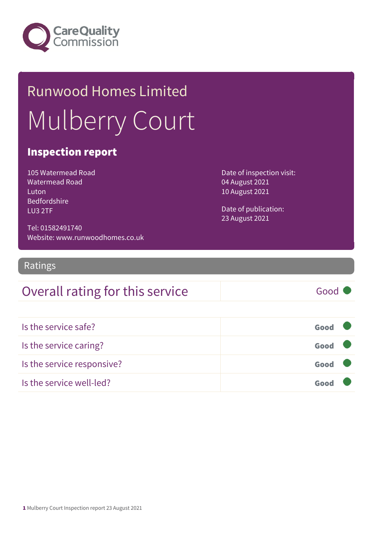

# Runwood Homes Limited Mulberry Court

### Inspection report

105 Watermead Road Watermead Road Luton Bedfordshire LU3 2TF

Date of inspection visit: 04 August 2021 10 August 2021

Date of publication: 23 August 2021

Tel: 01582491740 Website: www.runwoodhomes.co.uk

Ratings

### Overall rating for this service Fig. 6000

| Is the service safe?       | Good |  |
|----------------------------|------|--|
| Is the service caring?     | Good |  |
| Is the service responsive? | Good |  |
| Is the service well-led?   | Good |  |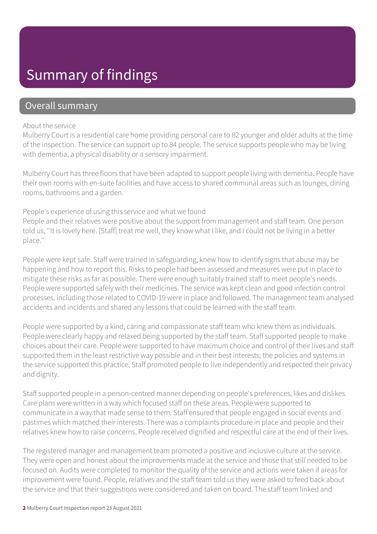### Summary of findings

### Overall summary

#### About the service

Mulberry Court is a residential care home providing personal care to 82 younger and older adults at the time of the inspection. The service can support up to 84 people. The service supports people who may be living with dementia, a physical disability or a sensory impairment.

Mulberry Court has three floors that have been adapted to support people living with dementia. People have their own rooms with en-suite facilities and have access to shared communal areas such as lounges, dining rooms, bathrooms and a garden.

#### People's experience of using this service and what we found

People and their relatives were positive about the support from management and staff team. One person told us, ''It is lovely here. [Staff] treat me well, they know what I like, and I could not be living in a better place.''

People were kept safe. Staff were trained in safeguarding, knew how to identify signs that abuse may be happening and how to report this. Risks to people had been assessed and measures were put in place to mitigate these risks as far as possible. There were enough suitably trained staff to meet people's needs. People were supported safely with their medicines. The service was kept clean and good infection control processes, including those related to COVID-19 were in place and followed. The management team analysed accidents and incidents and shared any lessons that could be learned with the staff team.

People were supported by a kind, caring and compassionate staff team who knew them as individuals. People were clearly happy and relaxed being supported by the staff team. Staff supported people to make choices about their care. People were supported to have maximum choice and control of their lives and staff supported them in the least restrictive way possible and in their best interests; the policies and systems in the service supported this practice. Staff promoted people to live independently and respected their privacy and dignity.

Staff supported people in a person-centred manner depending on people's preferences, likes and dislikes. Care plans were written in a way which focused staff on these areas. People were supported to communicate in a way that made sense to them. Staff ensured that people engaged in social events and pastimes which matched their interests. There was a complaints procedure in place and people and their relatives knew how to raise concerns. People received dignified and respectful care at the end of their lives.

The registered manager and management team promoted a positive and inclusive culture at the service. They were open and honest about the improvements made at the service and those that still needed to be focused on. Audits were completed to monitor the quality of the service and actions were taken if areas for improvement were found. People, relatives and the staff team told us they were asked to feed back about the service and that their suggestions were considered and taken on board. The staff team linked and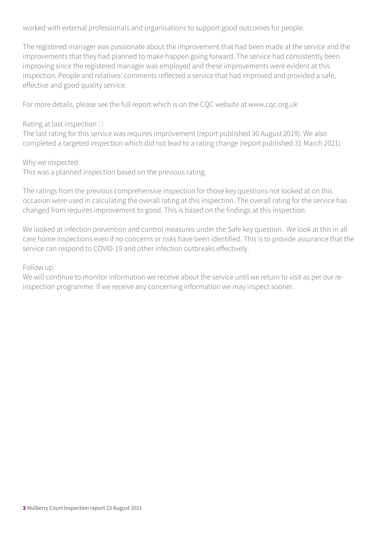worked with external professionals and organisations to support good outcomes for people.

The registered manager was passionate about the improvement that had been made at the service and the improvements that they had planned to make happen going forward. The service had consistently been improving since the registered manager was employed and these improvements were evident at this inspection. People and relatives' comments reflected a service that had improved and provided a safe, effective and good quality service.

For more details, please see the full report which is on the CQC website at www.cqc.org.uk

#### Rating at last inspection  $\square$

The last rating for this service was requires improvement (report published 30 August 2019). We also completed a targeted inspection which did not lead to a rating change (report published 31 March 2021)

Why we inspected

This was a planned inspection based on the previous rating.

The ratings from the previous comprehensive inspection for those key questions not looked at on this occasion were used in calculating the overall rating at this inspection. The overall rating for the service has changed from requires improvement to good. This is based on the findings at this inspection.

We looked at infection prevention and control measures under the Safe key question. We look at this in all care home inspections even if no concerns or risks have been identified. This is to provide assurance that the service can respond to COVID-19 and other infection outbreaks effectively.

#### Follow up

We will continue to monitor information we receive about the service until we return to visit as per our reinspection programme. If we receive any concerning information we may inspect sooner.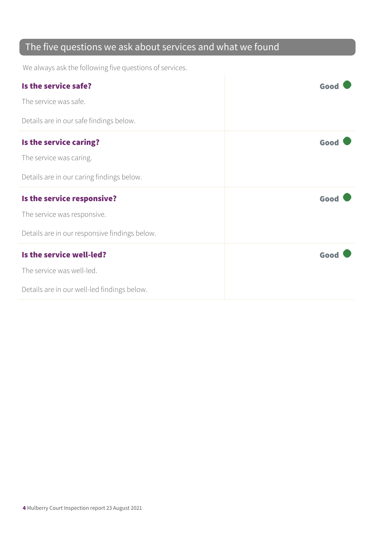### The five questions we ask about services and what we found

We always ask the following five questions of services.

| Is the service safe?                          | Good |
|-----------------------------------------------|------|
| The service was safe.                         |      |
| Details are in our safe findings below.       |      |
| Is the service caring?                        | Good |
| The service was caring.                       |      |
| Details are in our caring findings below.     |      |
| Is the service responsive?                    | Good |
|                                               |      |
| The service was responsive.                   |      |
| Details are in our responsive findings below. |      |
| Is the service well-led?                      | Good |
| The service was well-led.                     |      |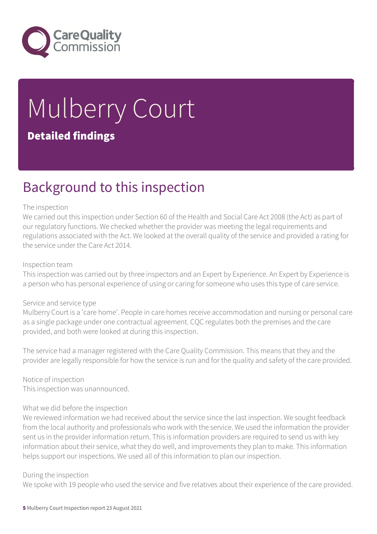

# Mulberry Court Detailed findings

### Background to this inspection

#### The inspection

We carried out this inspection under Section 60 of the Health and Social Care Act 2008 (the Act) as part of our regulatory functions. We checked whether the provider was meeting the legal requirements and regulations associated with the Act. We looked at the overall quality of the service and provided a rating for the service under the Care Act 2014.

#### Inspection team

This inspection was carried out by three inspectors and an Expert by Experience. An Expert by Experience is a person who has personal experience of using or caring for someone who uses this type of care service.

#### Service and service type

Mulberry Court is a 'care home'. People in care homes receive accommodation and nursing or personal care as a single package under one contractual agreement. CQC regulates both the premises and the care provided, and both were looked at during this inspection.

The service had a manager registered with the Care Quality Commission. This means that they and the provider are legally responsible for how the service is run and for the quality and safety of the care provided.

Notice of inspection This inspection was unannounced.

#### What we did before the inspection

We reviewed information we had received about the service since the last inspection. We sought feedback from the local authority and professionals who work with the service. We used the information the provider sent us in the provider information return. This is information providers are required to send us with key information about their service, what they do well, and improvements they plan to make. This information helps support our inspections. We used all of this information to plan our inspection.

#### During the inspection

We spoke with 19 people who used the service and five relatives about their experience of the care provided.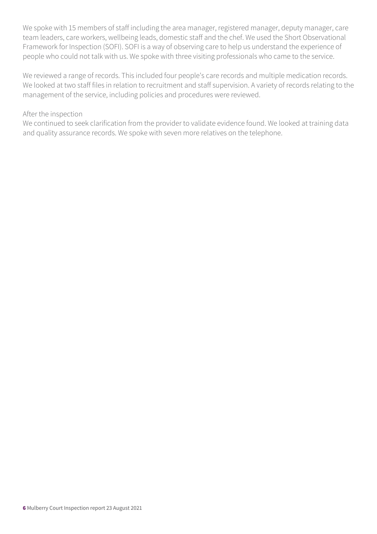We spoke with 15 members of staff including the area manager, registered manager, deputy manager, care team leaders, care workers, wellbeing leads, domestic staff and the chef. We used the Short Observational Framework for Inspection (SOFI). SOFI is a way of observing care to help us understand the experience of people who could not talk with us. We spoke with three visiting professionals who came to the service.

We reviewed a range of records. This included four people's care records and multiple medication records. We looked at two staff files in relation to recruitment and staff supervision. A variety of records relating to the management of the service, including policies and procedures were reviewed.

#### After the inspection

We continued to seek clarification from the provider to validate evidence found. We looked at training data and quality assurance records. We spoke with seven more relatives on the telephone.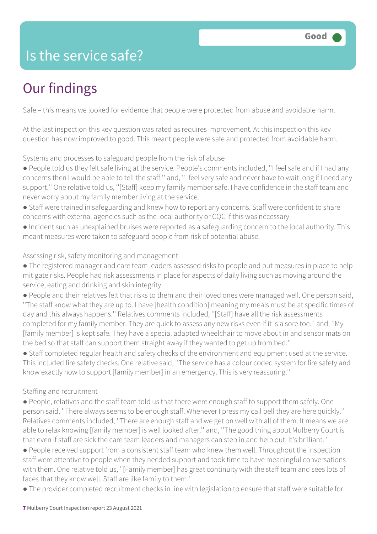### Is the service safe?

## Our findings

Safe – this means we looked for evidence that people were protected from abuse and avoidable harm.

At the last inspection this key question was rated as requires improvement. At this inspection this key question has now improved to good. This meant people were safe and protected from avoidable harm.

Systems and processes to safeguard people from the risk of abuse

- People told us they felt safe living at the service. People's comments included, ''I feel safe and if I had any concerns then I would be able to tell the staff.'' and, ''I feel very safe and never have to wait long if I need any support.'' One relative told us, ''[Staff] keep my family member safe. I have confidence in the staff team and never worry about my family member living at the service.
- Staff were trained in safeguarding and knew how to report any concerns. Staff were confident to share concerns with external agencies such as the local authority or CQC if this was necessary.
- Incident such as unexplained bruises were reported as a safeguarding concern to the local authority. This meant measures were taken to safeguard people from risk of potential abuse.

Assessing risk, safety monitoring and management

- The registered manager and care team leaders assessed risks to people and put measures in place to help mitigate risks. People had risk assessments in place for aspects of daily living such as moving around the service, eating and drinking and skin integrity.
- People and their relatives felt that risks to them and their loved ones were managed well. One person said, ''The staff know what they are up to. I have [health condition] meaning my meals must be at specific times of day and this always happens.'' Relatives comments included, ''[Staff] have all the risk assessments completed for my family member. They are quick to assess any new risks even if it is a sore toe.'' and, ''My [family member] is kept safe. They have a special adapted wheelchair to move about in and sensor mats on the bed so that staff can support them straight away if they wanted to get up from bed.''

● Staff completed regular health and safety checks of the environment and equipment used at the service. This included fire safety checks. One relative said, ''The service has a colour coded system for fire safety and know exactly how to support [family member] in an emergency. This is very reassuring.''

#### Staffing and recruitment

● People, relatives and the staff team told us that there were enough staff to support them safely. One person said, ''There always seems to be enough staff. Whenever I press my call bell they are here quickly.'' Relatives comments included, ''There are enough staff and we get on well with all of them. It means we are able to relax knowing [family member] is well looked after." and, "The good thing about Mulberry Court is that even if staff are sick the care team leaders and managers can step in and help out. It's brilliant.''

● People received support from a consistent staff team who knew them well. Throughout the inspection staff were attentive to people when they needed support and took time to have meaningful conversations with them. One relative told us, ''[Family member] has great continuity with the staff team and sees lots of faces that they know well. Staff are like family to them.''

● The provider completed recruitment checks in line with legislation to ensure that staff were suitable for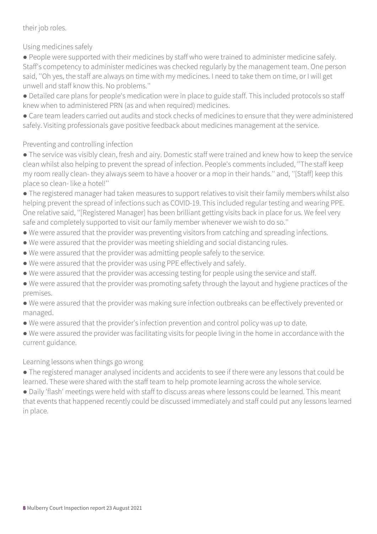#### their job roles.

Using medicines safely

● People were supported with their medicines by staff who were trained to administer medicine safely. Staff's competency to administer medicines was checked regularly by the management team. One person said, ''Oh yes, the staff are always on time with my medicines. I need to take them on time, or I will get unwell and staff know this. No problems.''

- Detailed care plans for people's medication were in place to guide staff. This included protocols so staff knew when to administered PRN (as and when required) medicines.
- Care team leaders carried out audits and stock checks of medicines to ensure that they were administered safely. Visiting professionals gave positive feedback about medicines management at the service.

Preventing and controlling infection

- The service was visibly clean, fresh and airy. Domestic staff were trained and knew how to keep the service clean whilst also helping to prevent the spread of infection. People's comments included, ''The staff keep my room really clean- they always seem to have a hoover or a mop in their hands.'' and, ''[Staff] keep this place so clean- like a hotel!''
- The registered manager had taken measures to support relatives to visit their family members whilst also helping prevent the spread of infections such as COVID-19. This included regular testing and wearing PPE. One relative said, ''[Registered Manager] has been brilliant getting visits back in place for us. We feel very safe and completely supported to visit our family member whenever we wish to do so.''
- We were assured that the provider was preventing visitors from catching and spreading infections.
- We were assured that the provider was meeting shielding and social distancing rules.
- We were assured that the provider was admitting people safely to the service.
- We were assured that the provider was using PPE effectively and safely.
- We were assured that the provider was accessing testing for people using the service and staff.
- We were assured that the provider was promoting safety through the layout and hygiene practices of the premises.
- We were assured that the provider was making sure infection outbreaks can be effectively prevented or managed.
- We were assured that the provider's infection prevention and control policy was up to date.
- We were assured the provider was facilitating visits for people living in the home in accordance with the current guidance.

#### Learning lessons when things go wrong

● The registered manager analysed incidents and accidents to see if there were any lessons that could be learned. These were shared with the staff team to help promote learning across the whole service.

● Daily 'flash' meetings were held with staff to discuss areas where lessons could be learned. This meant that events that happened recently could be discussed immediately and staff could put any lessons learned in place.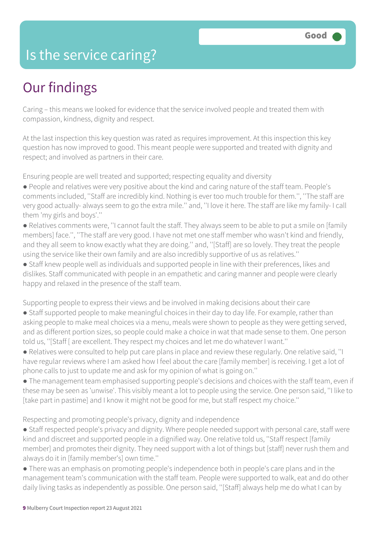### Is the service caring?

### Our findings

Caring – this means we looked for evidence that the service involved people and treated them with compassion, kindness, dignity and respect.

At the last inspection this key question was rated as requires improvement. At this inspection this key question has now improved to good. This meant people were supported and treated with dignity and respect; and involved as partners in their care.

Ensuring people are well treated and supported; respecting equality and diversity

- People and relatives were very positive about the kind and caring nature of the staff team. People's comments included, ''Staff are incredibly kind. Nothing is ever too much trouble for them.'', ''The staff are very good actually- always seem to go the extra mile.'' and, ''I love it here. The staff are like my family- I call them 'my girls and boys'.''
- Relatives comments were, ''I cannot fault the staff. They always seem to be able to put a smile on [family members] face.'', ''The staff are very good. I have not met one staff member who wasn't kind and friendly, and they all seem to know exactly what they are doing.'' and, ''[Staff] are so lovely. They treat the people using the service like their own family and are also incredibly supportive of us as relatives.''

● Staff knew people well as individuals and supported people in line with their preferences, likes and dislikes. Staff communicated with people in an empathetic and caring manner and people were clearly happy and relaxed in the presence of the staff team.

Supporting people to express their views and be involved in making decisions about their care

- Staff supported people to make meaningful choices in their day to day life. For example, rather than asking people to make meal choices via a menu, meals were shown to people as they were getting served, and as different portion sizes, so people could make a choice in wat that made sense to them. One person told us, ''[Staff [ are excellent. They respect my choices and let me do whatever I want.''
- Relatives were consulted to help put care plans in place and review these regularly. One relative said, ''I have regular reviews where I am asked how I feel about the care [family member] is receiving. I get a lot of phone calls to just to update me and ask for my opinion of what is going on.''
- The management team emphasised supporting people's decisions and choices with the staff team, even if these may be seen as 'unwise'. This visibly meant a lot to people using the service. One person said, ''I like to [take part in pastime] and I know it might not be good for me, but staff respect my choice.''

Respecting and promoting people's privacy, dignity and independence

- Staff respected people's privacy and dignity. Where people needed support with personal care, staff were kind and discreet and supported people in a dignified way. One relative told us, ''Staff respect [family member] and promotes their dignity. They need support with a lot of things but [staff] never rush them and always do it in [family member's] own time.''
- There was an emphasis on promoting people's independence both in people's care plans and in the management team's communication with the staff team. People were supported to walk, eat and do other daily living tasks as independently as possible. One person said, ''[Staff] always help me do what I can by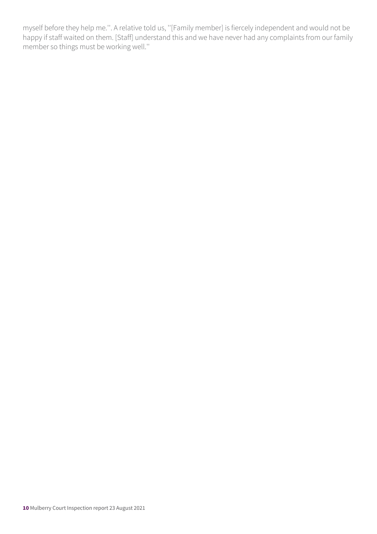myself before they help me.''. A relative told us, ''[Family member] is fiercely independent and would not be happy if staff waited on them. [Staff] understand this and we have never had any complaints from our family member so things must be working well.''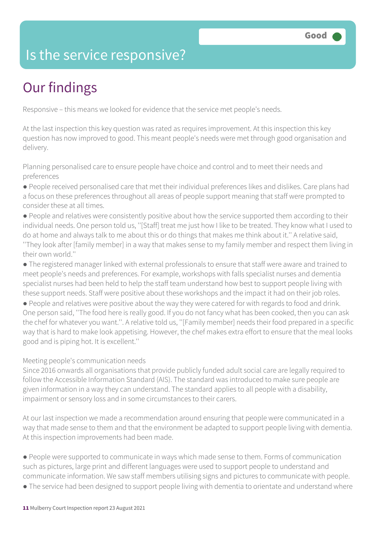### Is the service responsive?

# Our findings

Responsive – this means we looked for evidence that the service met people's needs.

At the last inspection this key question was rated as requires improvement. At this inspection this key question has now improved to good. This meant people's needs were met through good organisation and delivery.

Planning personalised care to ensure people have choice and control and to meet their needs and preferences

- People received personalised care that met their individual preferences likes and dislikes. Care plans had a focus on these preferences throughout all areas of people support meaning that staff were prompted to consider these at all times.
- People and relatives were consistently positive about how the service supported them according to their individual needs. One person told us, ''[Staff] treat me just how I like to be treated. They know what I used to do at home and always talk to me about this or do things that makes me think about it.'' A relative said, ''They look after [family member] in a way that makes sense to my family member and respect them living in their own world.''
- The registered manager linked with external professionals to ensure that staff were aware and trained to meet people's needs and preferences. For example, workshops with falls specialist nurses and dementia specialist nurses had been held to help the staff team understand how best to support people living with these support needs. Staff were positive about these workshops and the impact it had on their job roles.
- People and relatives were positive about the way they were catered for with regards to food and drink. One person said, ''The food here is really good. If you do not fancy what has been cooked, then you can ask the chef for whatever you want.''. A relative told us, ''[Family member] needs their food prepared in a specific way that is hard to make look appetising. However, the chef makes extra effort to ensure that the meal looks good and is piping hot. It is excellent.''

#### Meeting people's communication needs

Since 2016 onwards all organisations that provide publicly funded adult social care are legally required to follow the Accessible Information Standard (AIS). The standard was introduced to make sure people are given information in a way they can understand. The standard applies to all people with a disability, impairment or sensory loss and in some circumstances to their carers.

At our last inspection we made a recommendation around ensuring that people were communicated in a way that made sense to them and that the environment be adapted to support people living with dementia. At this inspection improvements had been made.

● People were supported to communicate in ways which made sense to them. Forms of communication such as pictures, large print and different languages were used to support people to understand and communicate information. We saw staff members utilising signs and pictures to communicate with people.

● The service had been designed to support people living with dementia to orientate and understand where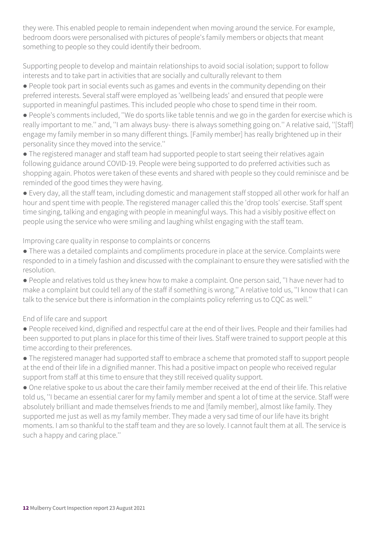they were. This enabled people to remain independent when moving around the service. For example, bedroom doors were personalised with pictures of people's family members or objects that meant something to people so they could identify their bedroom.

Supporting people to develop and maintain relationships to avoid social isolation; support to follow interests and to take part in activities that are socially and culturally relevant to them

● People took part in social events such as games and events in the community depending on their preferred interests. Several staff were employed as 'wellbeing leads' and ensured that people were supported in meaningful pastimes. This included people who chose to spend time in their room.

● People's comments included, ''We do sports like table tennis and we go in the garden for exercise which is really important to me.'' and, ''I am always busy- there is always something going on.'' A relative said, ''[Staff] engage my family member in so many different things. [Family member] has really brightened up in their personality since they moved into the service.''

● The registered manager and staff team had supported people to start seeing their relatives again following guidance around COVID-19. People were being supported to do preferred activities such as shopping again. Photos were taken of these events and shared with people so they could reminisce and be reminded of the good times they were having.

● Every day, all the staff team, including domestic and management staff stopped all other work for half an hour and spent time with people. The registered manager called this the 'drop tools' exercise. Staff spent time singing, talking and engaging with people in meaningful ways. This had a visibly positive effect on people using the service who were smiling and laughing whilst engaging with the staff team.

Improving care quality in response to complaints or concerns

● There was a detailed complaints and compliments procedure in place at the service. Complaints were responded to in a timely fashion and discussed with the complainant to ensure they were satisfied with the resolution.

● People and relatives told us they knew how to make a complaint. One person said, ''I have never had to make a complaint but could tell any of the staff if something is wrong.'' A relative told us, ''I know that I can talk to the service but there is information in the complaints policy referring us to CQC as well.''

#### End of life care and support

● People received kind, dignified and respectful care at the end of their lives. People and their families had been supported to put plans in place for this time of their lives. Staff were trained to support people at this time according to their preferences.

● The registered manager had supported staff to embrace a scheme that promoted staff to support people at the end of their life in a dignified manner. This had a positive impact on people who received regular support from staff at this time to ensure that they still received quality support.

● One relative spoke to us about the care their family member received at the end of their life. This relative told us, ''I became an essential carer for my family member and spent a lot of time at the service. Staff were absolutely brilliant and made themselves friends to me and [family member], almost like family. They supported me just as well as my family member. They made a very sad time of our life have its bright moments. I am so thankful to the staff team and they are so lovely. I cannot fault them at all. The service is such a happy and caring place.''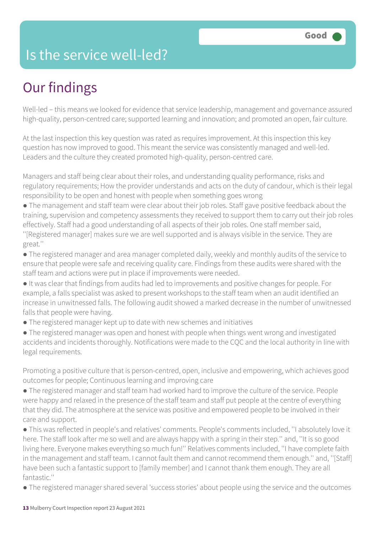### Is the service well-led?

## Our findings

Well-led – this means we looked for evidence that service leadership, management and governance assured high-quality, person-centred care; supported learning and innovation; and promoted an open, fair culture.

At the last inspection this key question was rated as requires improvement. At this inspection this key question has now improved to good. This meant the service was consistently managed and well-led. Leaders and the culture they created promoted high-quality, person-centred care.

Managers and staff being clear about their roles, and understanding quality performance, risks and regulatory requirements; How the provider understands and acts on the duty of candour, which is their legal responsibility to be open and honest with people when something goes wrong

● The management and staff team were clear about their job roles. Staff gave positive feedback about the training, supervision and competency assessments they received to support them to carry out their job roles effectively. Staff had a good understanding of all aspects of their job roles. One staff member said, ''[Registered manager] makes sure we are well supported and is always visible in the service. They are great.''

● The registered manager and area manager completed daily, weekly and monthly audits of the service to ensure that people were safe and receiving quality care. Findings from these audits were shared with the staff team and actions were put in place if improvements were needed.

● It was clear that findings from audits had led to improvements and positive changes for people. For example, a falls specialist was asked to present workshops to the staff team when an audit identified an increase in unwitnessed falls. The following audit showed a marked decrease in the number of unwitnessed falls that people were having.

● The registered manager kept up to date with new schemes and initiatives

● The registered manager was open and honest with people when things went wrong and investigated accidents and incidents thoroughly. Notifications were made to the CQC and the local authority in line with legal requirements.

Promoting a positive culture that is person-centred, open, inclusive and empowering, which achieves good outcomes for people; Continuous learning and improving care

● The registered manager and staff team had worked hard to improve the culture of the service. People were happy and relaxed in the presence of the staff team and staff put people at the centre of everything that they did. The atmosphere at the service was positive and empowered people to be involved in their care and support.

● This was reflected in people's and relatives' comments. People's comments included, ''I absolutely love it here. The staff look after me so well and are always happy with a spring in their step.'' and, ''It is so good living here. Everyone makes everything so much fun!'' Relatives comments included, ''I have complete faith in the management and staff team. I cannot fault them and cannot recommend them enough.'' and, ''[Staff] have been such a fantastic support to [family member] and I cannot thank them enough. They are all fantastic."

● The registered manager shared several 'success stories' about people using the service and the outcomes